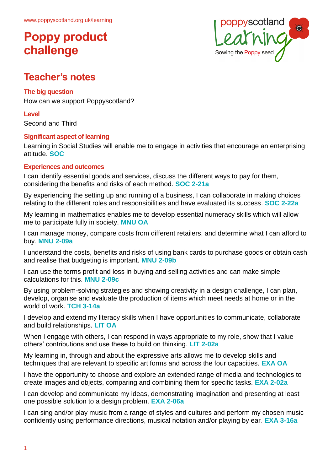

# **Teacher's notes**

## **The big question**

How can we support Poppyscotland?

**Level**

Second and Third

## **Significant aspect of learning**

Learning in Social Studies will enable me to engage in activities that encourage an enterprising attitude. **SOC**

## **Experiences and outcomes**

I can identify essential goods and services, discuss the different ways to pay for them, considering the benefits and risks of each method. **SOC 2-21a**

By experiencing the setting up and running of a business, I can collaborate in making choices relating to the different roles and responsibilities and have evaluated its success. **SOC 2-22a**

My learning in mathematics enables me to develop essential numeracy skills which will allow me to participate fully in society. **MNU OA**

I can manage money, compare costs from different retailers, and determine what I can afford to buy. **MNU 2-09a**

I understand the costs, benefits and risks of using bank cards to purchase goods or obtain cash and realise that budgeting is important. **MNU 2-09b**

I can use the terms profit and loss in buying and selling activities and can make simple calculations for this. **MNU 2-09c** 

By using problem-solving strategies and showing creativity in a design challenge, I can plan, develop, organise and evaluate the production of items which meet needs at home or in the world of work. **TCH 3-14a**

I develop and extend my literacy skills when I have opportunities to communicate, collaborate and build relationships. **LIT OA**

When I engage with others, I can respond in ways appropriate to my role, show that I value others' contributions and use these to build on thinking. **LIT 2-02a**

My learning in, through and about the expressive arts allows me to develop skills and techniques that are relevant to specific art forms and across the four capacities. **EXA OA**

I have the opportunity to choose and explore an extended range of media and technologies to create images and objects, comparing and combining them for specific tasks. **EXA 2-02a**

I can develop and communicate my ideas, demonstrating imagination and presenting at least one possible solution to a design problem. **EXA 2-06a**

I can sing and/or play music from a range of styles and cultures and perform my chosen music confidently using performance directions, musical notation and/or playing by ear. **EXA 3-16a**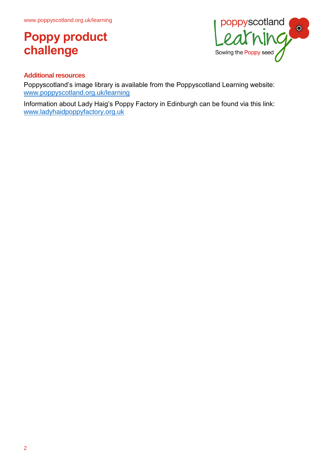

## **Additional resources**

Poppyscotland's image library is available from the Poppyscotland Learning website: [www.poppyscotland.org.uk/learning](http://www.poppyscotland.org.uk/learning)

Information about Lady Haig's Poppy Factory in Edinburgh can be found via this link: [www.ladyhaidpoppyfactory.org.uk](http://www.ladyhaidpoppyfactory.org.uk/)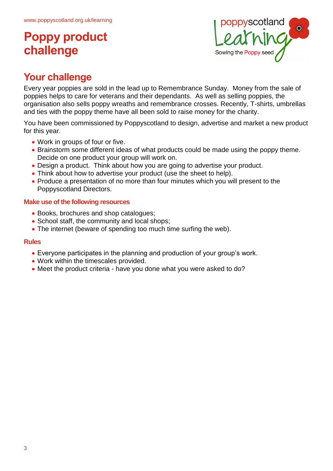

# **Your challenge**

Every year poppies are sold in the lead up to Remembrance Sunday. Money from the sale of poppies helps to care for veterans and their dependants. As well as selling poppies, the organisation also sells poppy wreaths and remembrance crosses. Recently, T-shirts, umbrellas and ties with the poppy theme have all been sold to raise money for the charity.

You have been commissioned by Poppyscotland to design, advertise and market a new product for this year.

- Work in groups of four or five.
- Brainstorm some different ideas of what products could be made using the poppy theme. Decide on one product your group will work on.
- Design a product. Think about how you are going to advertise your product.
- Think about how to advertise your product (use the sheet to help).
- Produce a presentation of no more than four minutes which you will present to the Poppyscotland Directors.

## **Make use of the following resources**

- Books, brochures and shop catalogues;
- School staff, the community and local shops;
- The internet (beware of spending too much time surfing the web).

### **Rules**

- Everyone participates in the planning and production of your group's work.
- Work within the timescales provided.
- Meet the product criteria have you done what you were asked to do?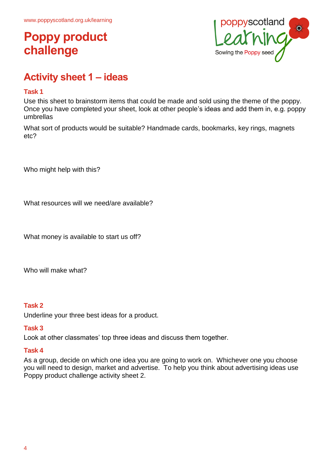

# **Activity sheet 1 – ideas**

### **Task 1**

Use this sheet to brainstorm items that could be made and sold using the theme of the poppy. Once you have completed your sheet, look at other people's ideas and add them in, e.g. poppy umbrellas

What sort of products would be suitable? Handmade cards, bookmarks, key rings, magnets etc?

Who might help with this?

What resources will we need/are available?

What money is available to start us off?

Who will make what?

### **Task 2**

Underline your three best ideas for a product.

#### **Task 3**

Look at other classmates' top three ideas and discuss them together.

#### **Task 4**

As a group, decide on which one idea you are going to work on. Whichever one you choose you will need to design, market and advertise. To help you think about advertising ideas use Poppy product challenge activity sheet 2.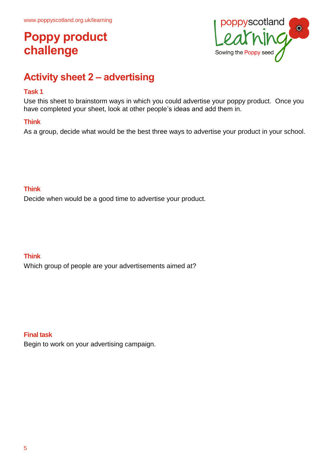

# **Activity sheet 2 – advertising**

### **Task 1**

Use this sheet to brainstorm ways in which you could advertise your poppy product. Once you have completed your sheet, look at other people's ideas and add them in.

## **Think**

As a group, decide what would be the best three ways to advertise your product in your school.

### **Think**

Decide when would be a good time to advertise your product.

## **Think**

Which group of people are your advertisements aimed at?

### **Final task**

Begin to work on your advertising campaign.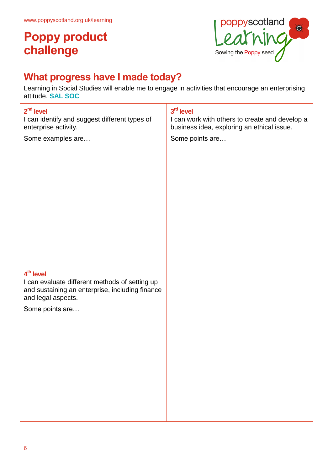

# **What progress have I made today?**

Learning in Social Studies will enable me to engage in activities that encourage an enterprising attitude. **SAL SOC**

| $2nd$ level<br>I can identify and suggest different types of<br>enterprise activity.<br>Some examples are                                                 | 3rd level<br>I can work with others to create and develop a<br>business idea, exploring an ethical issue.<br>Some points are |
|-----------------------------------------------------------------------------------------------------------------------------------------------------------|------------------------------------------------------------------------------------------------------------------------------|
| $4th$ level<br>I can evaluate different methods of setting up<br>and sustaining an enterprise, including finance<br>and legal aspects.<br>Some points are |                                                                                                                              |